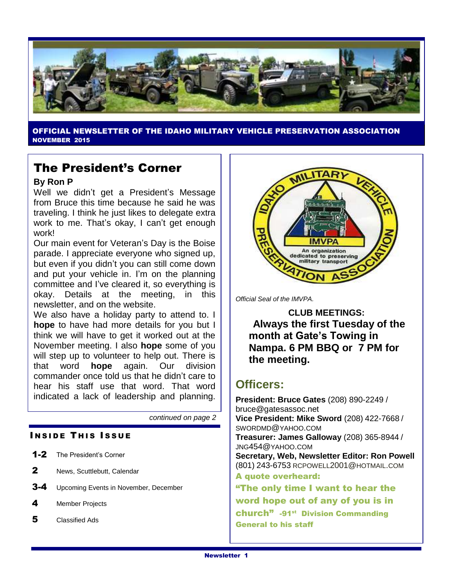

OFFICIAL NEWSLETTER OF THE IDAHO MILITARY VEHICLE PRESERVATION ASSOCIATION NOVEMBER 2015

# The President's Corner

#### **By Ron P**

Well we didn't get a President's Message from Bruce this time because he said he was traveling. I think he just likes to delegate extra work to me. That's okay, I can't get enough work!

Our main event for Veteran's Day is the Boise parade. I appreciate everyone who signed up, but even if you didn't you can still come down and put your vehicle in. I'm on the planning committee and I've cleared it, so everything is okay. Details at the meeting, in this newsletter, and on the website.

We also have a holiday party to attend to. I **hope** to have had more details for you but I think we will have to get it worked out at the November meeting. I also **hope** some of you will step up to volunteer to help out. There is that word **hope** again. Our division commander once told us that he didn't care to hear his staff use that word. That word indicated a lack of leadership and planning.

*continued on page 2*

## **INSIDE THIS ISSUE**

- 1-2 The President's Corner
- 2 News, Scuttlebutt, Calendar
- **3-4** Upcoming Events in November, December
- 4 Member Projects
- 5 Classified Ads



*Official Seal of the IMVPA.*

**CLUB MEETINGS: Always the first Tuesday of the month at Gate's Towing in Nampa. 6 PM BBQ or 7 PM for the meeting.**

# **Officers:**

**President: Bruce Gates** (208) 890-2249 / bruce@gatesassoc.net **Vice President: Mike Sword** (208) 422-7668 / SWORDMD@YAHOO.COM **Treasurer: James Galloway** (208) 365-8944 / JNG454@YAHOO.COM **Secretary, Web, Newsletter Editor: Ron Powell**  (801) 243-6753 [RCPOWELL](mailto:rcpowell2001@hotmail.com)2001@HOTMAIL.COM A quote overheard: "The only time I want to hear the word hope out of any of you is in church" -91<sup>st</sup> Division Commanding General to his staff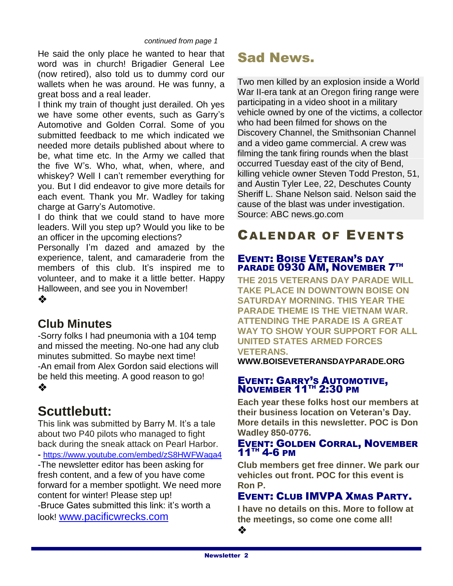#### *continued from page 1*

He said the only place he wanted to hear that word was in church! Brigadier General Lee (now retired), also told us to dummy cord our wallets when he was around. He was funny, a great boss and a real leader.

I think my train of thought just derailed. Oh yes we have some other events, such as Garry's Automotive and Golden Corral. Some of you submitted feedback to me which indicated we needed more details published about where to be, what time etc. In the Army we called that the five W's. Who, what, when, where, and whiskey? Well I can't remember everything for you. But I did endeavor to give more details for each event. Thank you Mr. Wadley for taking charge at Garry's Automotive.

I do think that we could stand to have more leaders. Will you step up? Would you like to be an officer in the upcoming elections?

Personally I'm dazed and amazed by the experience, talent, and camaraderie from the members of this club. It's inspired me to volunteer, and to make it a little better. Happy Halloween, and see you in November!

 $\bullet$ 

## **Club Minutes**

-Sorry folks I had pneumonia with a 104 temp and missed the meeting. No-one had any club minutes submitted. So maybe next time! -An email from Alex Gordon said elections will be held this meeting. A good reason to go!  $\frac{1}{2}$ 

# **Scuttlebutt:**

This link was submitted by Barry M. It's a tale about two P40 pilots who managed to fight back during the sneak attack on Pearl Harbor. **-** <https://www.youtube.com/embed/zS8HWFWaqa4> -The newsletter editor has been asking for fresh content, and a few of you have come forward for a member spotlight. We need more content for winter! Please step up! -Bruce Gates submitted this link: it's worth a look! [www.pacificwrecks.com](http://www.pacificwrecks.com/)

# Sad News.

Two men killed by an explosion inside a World War II-era tank at an [Oregon](http://abcnews.go.com/topics/news/oregon.htm) firing range were participating in a video shoot in a military vehicle owned by one of the victims, a collector who had been filmed for shows on the Discovery Channel, the Smithsonian Channel and a video game commercial. A crew was filming the tank firing rounds when the blast occurred Tuesday east of the city of Bend, killing vehicle owner Steven Todd Preston, 51, and Austin Tyler Lee, 22, Deschutes County Sheriff L. Shane Nelson said. Nelson said the cause of the blast was under investigation. Source: ABC news.go.com

# CALENDAR OF EVENTS

## EVENT: BOISE VETERAN'S DAY PARADE 0930 AM, NOVEMBER 7TH

**THE 2015 VETERANS DAY PARADE WILL TAKE PLACE IN DOWNTOWN BOISE ON SATURDAY MORNING. THIS YEAR THE PARADE THEME IS THE VIETNAM WAR. ATTENDING THE PARADE IS A GREAT WAY TO SHOW YOUR SUPPORT FOR ALL UNITED STATES ARMED FORCES VETERANS.** 

**WWW.BOISEVETERANSDAYPARADE.ORG**

### EVENT: GARRY'S AUTOMOTIVE, NOVEMBER 11<sup>TH</sup> 2:30 PM

**Each year these folks host our members at their business location on Veteran's Day. More details in this newsletter. POC is Don Wadley 850-0776.**

#### EVENT: GOLDEN CORRAL, NOVEMBER 11TH 4-6 PM

**Club members get free dinner. We park our vehicles out front. POC for this event is Ron P.** 

## EVENT: CLUB IMVPA XMAS PARTY.

**I have no details on this. More to follow at the meetings, so come one come all!**

❖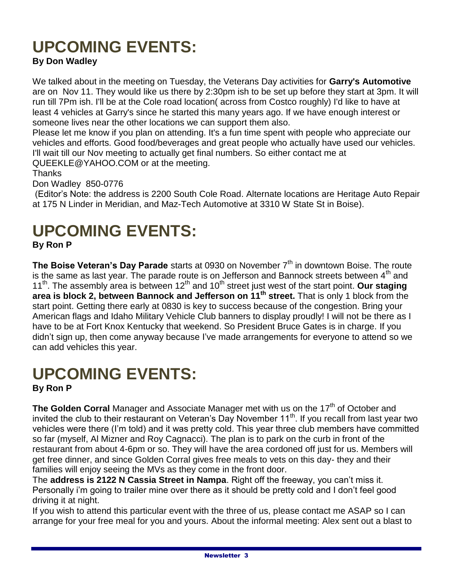# **UPCOMING EVENTS:**

## **By Don Wadley**

We talked about in the meeting on Tuesday, the Veterans Day activities for **Garry's Automotive** are on Nov 11. They would like us there by 2:30pm ish to be set up before they start at 3pm. It will run till 7Pm ish. I'll be at the Cole road location( across from Costco roughly) I'd like to have at least 4 vehicles at Garry's since he started this many years ago. If we have enough interest or someone lives near the other locations we can support them also.

Please let me know if you plan on attending. It's a fun time spent with people who appreciate our vehicles and efforts. Good food/beverages and great people who actually have used our vehicles. I'll wait till our Nov meeting to actually get final numbers. So either contact me at QUEEKLE@YAHOO.COM or at the meeting.

Thanks

Don Wadley 850-0776

(Editor's Note: the address is 2200 South Cole Road. Alternate locations are Heritage Auto Repair at 175 N Linder in Meridian, and Maz-Tech Automotive at 3310 W State St in Boise).

# **UPCOMING EVENTS: By Ron P**

**The Boise Veteran's Day Parade** starts at 0930 on November 7<sup>th</sup> in downtown Boise. The route is the same as last year. The parade route is on Jefferson and Bannock streets between  $4<sup>th</sup>$  and 11<sup>th</sup>. The assembly area is between 12<sup>th</sup> and 10<sup>th</sup> street just west of the start point. **Our staging area is block 2, between Bannock and Jefferson on 11th street.** That is only 1 block from the start point. Getting there early at 0830 is key to success because of the congestion. Bring your American flags and Idaho Military Vehicle Club banners to display proudly! I will not be there as I have to be at Fort Knox Kentucky that weekend. So President Bruce Gates is in charge. If you didn't sign up, then come anyway because I've made arrangements for everyone to attend so we can add vehicles this year.

# **UPCOMING EVENTS:**

**By Ron P**

The Golden Corral Manager and Associate Manager met with us on the 17<sup>th</sup> of October and invited the club to their restaurant on Veteran's Day November 11<sup>th</sup>. If you recall from last year two vehicles were there (I'm told) and it was pretty cold. This year three club members have committed so far (myself, Al Mizner and Roy Cagnacci). The plan is to park on the curb in front of the restaurant from about 4-6pm or so. They will have the area cordoned off just for us. Members will get free dinner, and since Golden Corral gives free meals to vets on this day- they and their families will enjoy seeing the MVs as they come in the front door.

The **address is 2122 N Cassia Street in Nampa**. Right off the freeway, you can't miss it. Personally i'm going to trailer mine over there as it should be pretty cold and I don't feel good driving it at night.

If you wish to attend this particular event with the three of us, please contact me ASAP so I can arrange for your free meal for you and yours. About the informal meeting: Alex sent out a blast to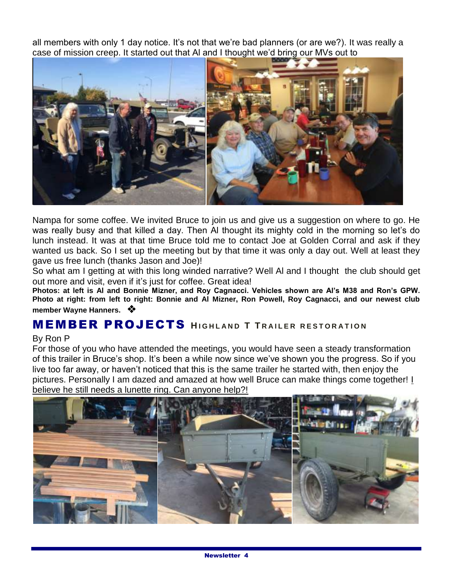all members with only 1 day notice. It's not that we're bad planners (or are we?). It was really a case of mission creep. It started out that Al and I thought we'd bring our MVs out to



Nampa for some coffee. We invited Bruce to join us and give us a suggestion on where to go. He was really busy and that killed a day. Then Al thought its mighty cold in the morning so let's do lunch instead. It was at that time Bruce told me to contact Joe at Golden Corral and ask if they wanted us back. So I set up the meeting but by that time it was only a day out. Well at least they gave us free lunch (thanks Jason and Joe)!

So what am I getting at with this long winded narrative? Well Al and I thought the club should get out more and visit, even if it's just for coffee. Great idea!

**Photos: at left is Al and Bonnie Mizner, and Roy Cagnacci. Vehicles shown are Al's M38 and Ron's GPW. Photo at right: from left to right: Bonnie and Al Mizner, Ron Powell, Roy Cagnacci, and our newest club member Wayne Hanners.** 

## **MEMBER PROJECTS** HIGHLAND T TRAILER RESTORATION

#### By Ron P

For those of you who have attended the meetings, you would have seen a steady transformation of this trailer in Bruce's shop. It's been a while now since we've shown you the progress. So if you live too far away, or haven't noticed that this is the same trailer he started with, then enjoy the pictures. Personally I am dazed and amazed at how well Bruce can make things come together! I believe he still needs a lunette ring. Can anyone help?!